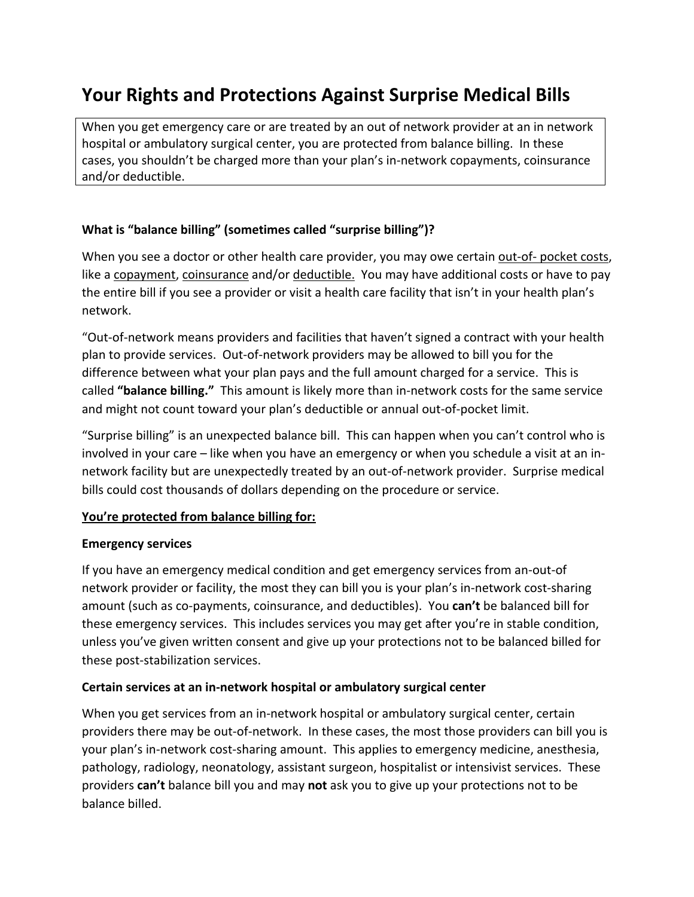# Your Rights and Protections Against Surprise Medical Bills

When you get emergency care or are treated by an out of network provider at an in network hospital or ambulatory surgical center, you are protected from balance billing. In these cases, you shouldn't be charged more than your plan's in-network copayments, coinsurance and/or deductible.

## What is "balance billing" (sometimes called "surprise billing")?

When you see a doctor or other health care provider, you may owe certain out-of- pocket costs, like a copayment, coinsurance and/or deductible. You may have additional costs or have to pay the entire bill if you see a provider or visit a health care facility that isn't in your health plan's network.

"Out-of-network means providers and facilities that haven't signed a contract with your health plan to provide services. Out-of-network providers may be allowed to bill you for the difference between what your plan pays and the full amount charged for a service. This is called "balance billing." This amount is likely more than in-network costs for the same service and might not count toward your plan's deductible or annual out-of-pocket limit.

"Surprise billing" is an unexpected balance bill. This can happen when you can't control who is involved in your care – like when you have an emergency or when you schedule a visit at an innetwork facility but are unexpectedly treated by an out-of-network provider. Surprise medical bills could cost thousands of dollars depending on the procedure or service.

## You're protected from balance billing for:

#### **Emergency services**

If you have an emergency medical condition and get emergency services from an-out-of network provider or facility, the most they can bill you is your plan's in-network cost-sharing amount (such as co-payments, coinsurance, and deductibles). You **can't** be balanced bill for these emergency services. This includes services you may get after you're in stable condition, unless you've given written consent and give up your protections not to be balanced billed for these post-stabilization services.

## **Certain services at an in-network hospital or ambulatory surgical center**

When you get services from an in-network hospital or ambulatory surgical center, certain providers there may be out-of-network. In these cases, the most those providers can bill you is your plan's in-network cost-sharing amount. This applies to emergency medicine, anesthesia, pathology, radiology, neonatology, assistant surgeon, hospitalist or intensivist services. These providers **can't** balance bill you and may **not** ask you to give up your protections not to be balance billed.